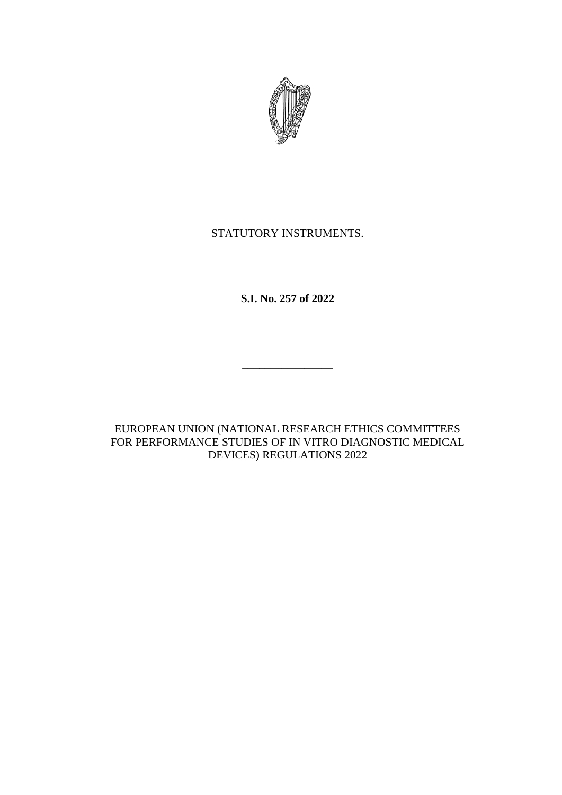

# STATUTORY INSTRUMENTS.

**S.I. No. 257 of 2022**

\_\_\_\_\_\_\_\_\_\_\_\_\_\_\_\_

EUROPEAN UNION (NATIONAL RESEARCH ETHICS COMMITTEES FOR PERFORMANCE STUDIES OF IN VITRO DIAGNOSTIC MEDICAL DEVICES) REGULATIONS 2022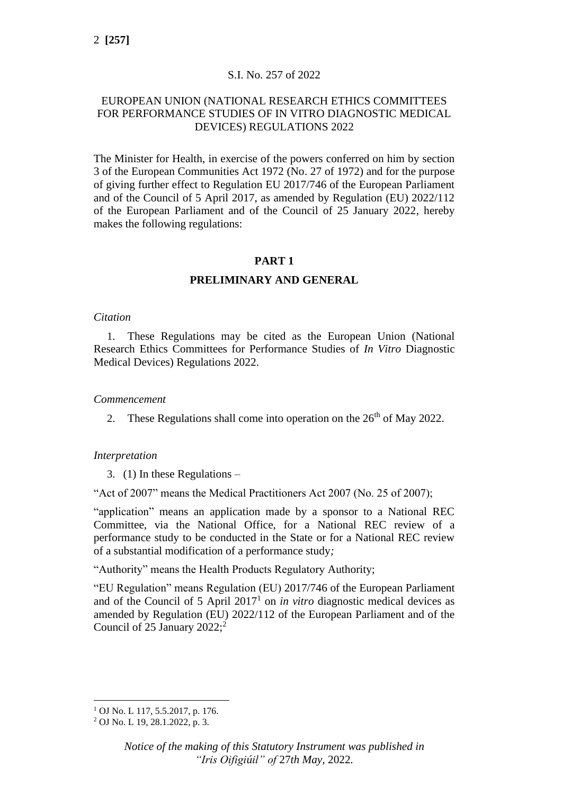# S.I. No. 257 of 2022

# EUROPEAN UNION (NATIONAL RESEARCH ETHICS COMMITTEES FOR PERFORMANCE STUDIES OF IN VITRO DIAGNOSTIC MEDICAL DEVICES) REGULATIONS 2022

The Minister for Health, in exercise of the powers conferred on him by section 3 of the European Communities Act 1972 (No. 27 of 1972) and for the purpose of giving further effect to Regulation EU 2017/746 of the European Parliament and of the Council of 5 April 2017, as amended by Regulation (EU) 2022/112 of the European Parliament and of the Council of 25 January 2022, hereby makes the following regulations:

# **PART 1**

# **PRELIMINARY AND GENERAL**

### *Citation*

1. These Regulations may be cited as the European Union (National Research Ethics Committees for Performance Studies of *In Vitro* Diagnostic Medical Devices) Regulations 2022.

### *Commencement*

2. These Regulations shall come into operation on the  $26<sup>th</sup>$  of May 2022.

#### *Interpretation*

3. (1) In these Regulations –

"Act of 2007" means the Medical Practitioners Act 2007 (No. 25 of 2007);

"application" means an application made by a sponsor to a National REC Committee, via the National Office, for a National REC review of a performance study to be conducted in the State or for a National REC review of a substantial modification of a performance study*;*

"Authority" means the Health Products Regulatory Authority;

"EU Regulation" means Regulation (EU) 2017/746 of the European Parliament and of the Council of  $5$  April  $2017<sup>1</sup>$  on *in vitro* diagnostic medical devices as amended by Regulation (EU) 2022/112 of the European Parliament and of the Council of 25 January 2022; $^2$ 

 $1$  OJ No. L 117, 5.5.2017, p. 176.

<sup>2</sup> OJ No. L 19, 28.1.2022, p. 3.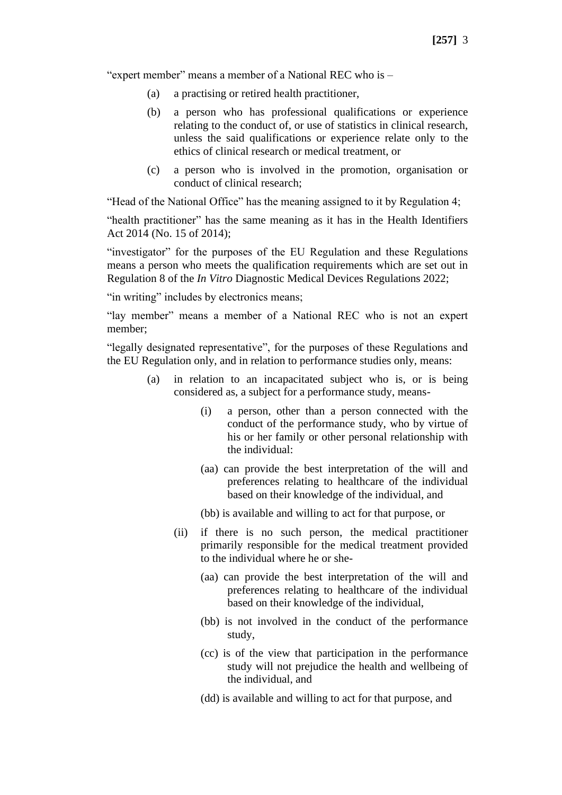"expert member" means a member of a National REC who is –

- (a) a practising or retired health practitioner,
- (b) a person who has professional qualifications or experience relating to the conduct of, or use of statistics in clinical research, unless the said qualifications or experience relate only to the ethics of clinical research or medical treatment, or
- (c) a person who is involved in the promotion, organisation or conduct of clinical research;

"Head of the National Office" has the meaning assigned to it by Regulation 4;

"health practitioner" has the same meaning as it has in the Health Identifiers Act 2014 (No. 15 of 2014);

"investigator" for the purposes of the EU Regulation and these Regulations means a person who meets the qualification requirements which are set out in Regulation 8 of the *In Vitro* Diagnostic Medical Devices Regulations 2022;

"in writing" includes by electronics means;

"lay member" means a member of a National REC who is not an expert member;

"legally designated representative", for the purposes of these Regulations and the EU Regulation only, and in relation to performance studies only, means:

- (a) in relation to an incapacitated subject who is, or is being considered as, a subject for a performance study, means-
	- (i) a person, other than a person connected with the conduct of the performance study, who by virtue of his or her family or other personal relationship with the individual:
	- (aa) can provide the best interpretation of the will and preferences relating to healthcare of the individual based on their knowledge of the individual, and
	- (bb) is available and willing to act for that purpose, or
	- (ii) if there is no such person, the medical practitioner primarily responsible for the medical treatment provided to the individual where he or she-
		- (aa) can provide the best interpretation of the will and preferences relating to healthcare of the individual based on their knowledge of the individual,
		- (bb) is not involved in the conduct of the performance study,
		- (cc) is of the view that participation in the performance study will not prejudice the health and wellbeing of the individual, and
		- (dd) is available and willing to act for that purpose, and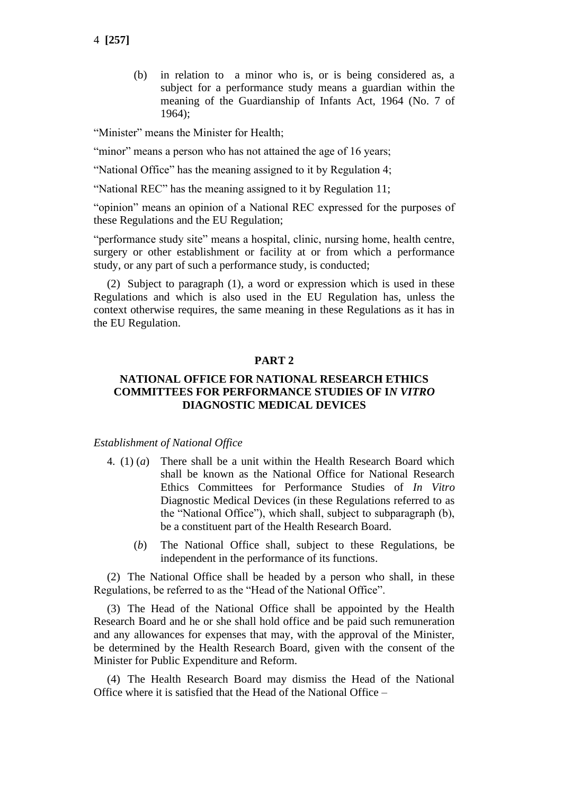(b) in relation to a minor who is, or is being considered as, a subject for a performance study means a guardian within the meaning of the Guardianship of Infants Act, 1964 (No. 7 of 1964);

"Minister" means the Minister for Health;

"minor" means a person who has not attained the age of 16 years;

"National Office" has the meaning assigned to it by Regulation 4;

"National REC" has the meaning assigned to it by Regulation 11;

"opinion" means an opinion of a National REC expressed for the purposes of these Regulations and the EU Regulation;

"performance study site" means a hospital, clinic, nursing home, health centre, surgery or other establishment or facility at or from which a performance study, or any part of such a performance study, is conducted;

(2) Subject to paragraph (1), a word or expression which is used in these Regulations and which is also used in the EU Regulation has, unless the context otherwise requires, the same meaning in these Regulations as it has in the EU Regulation.

# **PART 2**

### **NATIONAL OFFICE FOR NATIONAL RESEARCH ETHICS COMMITTEES FOR PERFORMANCE STUDIES OF I***N VITRO*  **DIAGNOSTIC MEDICAL DEVICES**

#### *Establishment of National Office*

- 4. (1) (*a*) There shall be a unit within the Health Research Board which shall be known as the National Office for National Research Ethics Committees for Performance Studies of *In Vitro* Diagnostic Medical Devices (in these Regulations referred to as the "National Office"), which shall, subject to subparagraph (b), be a constituent part of the Health Research Board.
	- (*b*) The National Office shall, subject to these Regulations, be independent in the performance of its functions.

(2) The National Office shall be headed by a person who shall, in these Regulations, be referred to as the "Head of the National Office".

(3) The Head of the National Office shall be appointed by the Health Research Board and he or she shall hold office and be paid such remuneration and any allowances for expenses that may, with the approval of the Minister, be determined by the Health Research Board, given with the consent of the Minister for Public Expenditure and Reform.

(4) The Health Research Board may dismiss the Head of the National Office where it is satisfied that the Head of the National Office –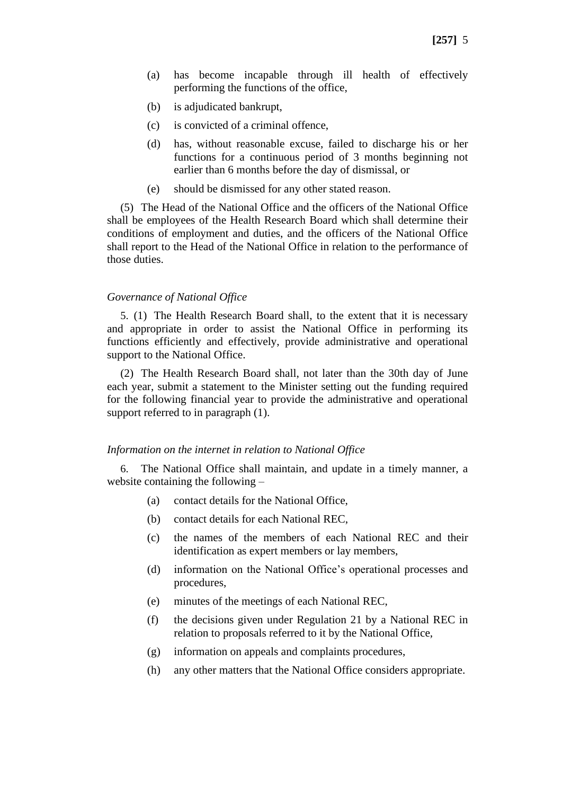- (a) has become incapable through ill health of effectively performing the functions of the office,
- (b) is adjudicated bankrupt,
- (c) is convicted of a criminal offence,
- (d) has, without reasonable excuse, failed to discharge his or her functions for a continuous period of 3 months beginning not earlier than 6 months before the day of dismissal, or
- (e) should be dismissed for any other stated reason.

(5) The Head of the National Office and the officers of the National Office shall be employees of the Health Research Board which shall determine their conditions of employment and duties, and the officers of the National Office shall report to the Head of the National Office in relation to the performance of those duties.

#### *Governance of National Office*

5. (1) The Health Research Board shall, to the extent that it is necessary and appropriate in order to assist the National Office in performing its functions efficiently and effectively, provide administrative and operational support to the National Office.

(2) The Health Research Board shall, not later than the 30th day of June each year, submit a statement to the Minister setting out the funding required for the following financial year to provide the administrative and operational support referred to in paragraph  $(1)$ .

#### *Information on the internet in relation to National Office*

6. The National Office shall maintain, and update in a timely manner, a website containing the following –

- (a) contact details for the National Office,
- (b) contact details for each National REC,
- (c) the names of the members of each National REC and their identification as expert members or lay members,
- (d) information on the National Office's operational processes and procedures,
- (e) minutes of the meetings of each National REC,
- (f) the decisions given under Regulation 21 by a National REC in relation to proposals referred to it by the National Office,
- (g) information on appeals and complaints procedures,
- (h) any other matters that the National Office considers appropriate.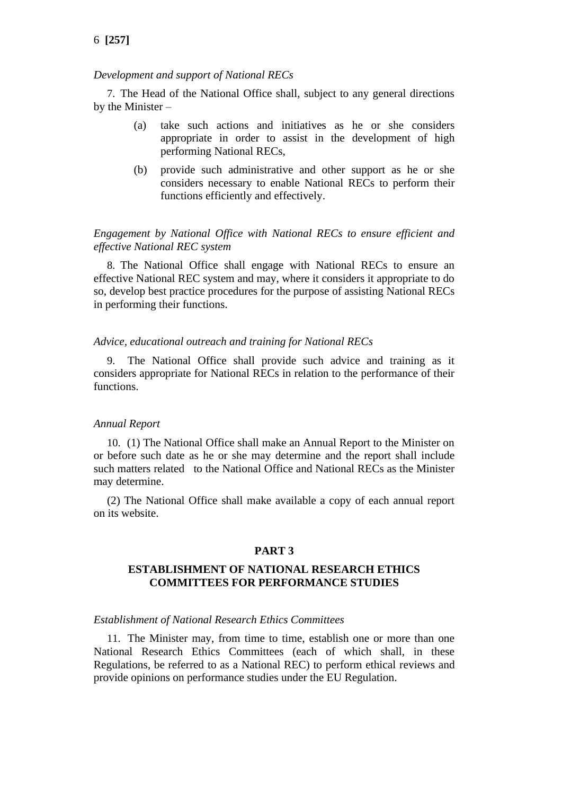#### *Development and support of National RECs*

7. The Head of the National Office shall, subject to any general directions by the Minister –

- (a) take such actions and initiatives as he or she considers appropriate in order to assist in the development of high performing National RECs,
- (b) provide such administrative and other support as he or she considers necessary to enable National RECs to perform their functions efficiently and effectively.

### *Engagement by National Office with National RECs to ensure efficient and effective National REC system*

8. The National Office shall engage with National RECs to ensure an effective National REC system and may, where it considers it appropriate to do so, develop best practice procedures for the purpose of assisting National RECs in performing their functions.

#### *Advice, educational outreach and training for National RECs*

9. The National Office shall provide such advice and training as it considers appropriate for National RECs in relation to the performance of their functions.

#### *Annual Report*

10. (1) The National Office shall make an Annual Report to the Minister on or before such date as he or she may determine and the report shall include such matters related to the National Office and National RECs as the Minister may determine.

(2) The National Office shall make available a copy of each annual report on its website.

### **PART 3**

### **ESTABLISHMENT OF NATIONAL RESEARCH ETHICS COMMITTEES FOR PERFORMANCE STUDIES**

#### *Establishment of National Research Ethics Committees*

11. The Minister may, from time to time, establish one or more than one National Research Ethics Committees (each of which shall, in these Regulations, be referred to as a National REC) to perform ethical reviews and provide opinions on performance studies under the EU Regulation.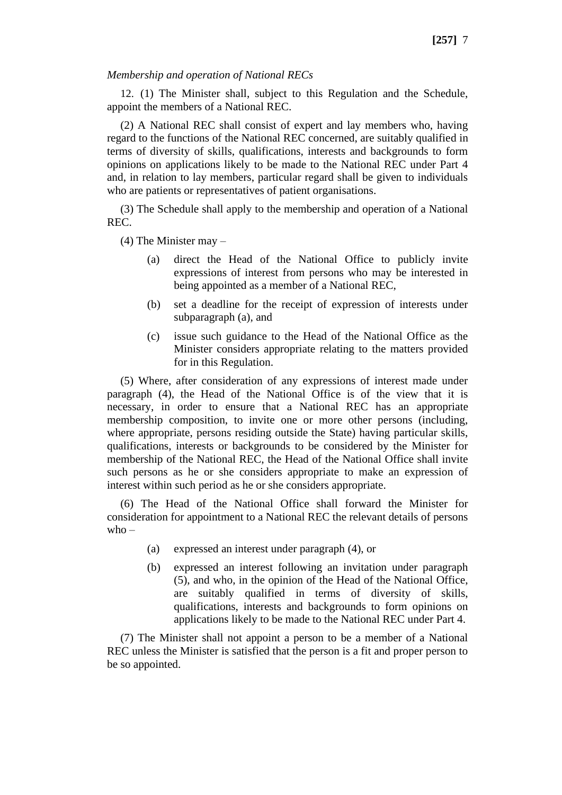### *Membership and operation of National RECs*

12. (1) The Minister shall, subject to this Regulation and the Schedule, appoint the members of a National REC.

(2) A National REC shall consist of expert and lay members who, having regard to the functions of the National REC concerned, are suitably qualified in terms of diversity of skills, qualifications, interests and backgrounds to form opinions on applications likely to be made to the National REC under Part 4 and, in relation to lay members, particular regard shall be given to individuals who are patients or representatives of patient organisations.

(3) The Schedule shall apply to the membership and operation of a National REC.

(4) The Minister may –

- (a) direct the Head of the National Office to publicly invite expressions of interest from persons who may be interested in being appointed as a member of a National REC,
- (b) set a deadline for the receipt of expression of interests under subparagraph (a), and
- (c) issue such guidance to the Head of the National Office as the Minister considers appropriate relating to the matters provided for in this Regulation.

(5) Where, after consideration of any expressions of interest made under paragraph (4), the Head of the National Office is of the view that it is necessary, in order to ensure that a National REC has an appropriate membership composition, to invite one or more other persons (including, where appropriate, persons residing outside the State) having particular skills, qualifications, interests or backgrounds to be considered by the Minister for membership of the National REC, the Head of the National Office shall invite such persons as he or she considers appropriate to make an expression of interest within such period as he or she considers appropriate.

(6) The Head of the National Office shall forward the Minister for consideration for appointment to a National REC the relevant details of persons  $who -$ 

- (a) expressed an interest under paragraph (4), or
- (b) expressed an interest following an invitation under paragraph (5), and who, in the opinion of the Head of the National Office, are suitably qualified in terms of diversity of skills, qualifications, interests and backgrounds to form opinions on applications likely to be made to the National REC under Part 4.

(7) The Minister shall not appoint a person to be a member of a National REC unless the Minister is satisfied that the person is a fit and proper person to be so appointed.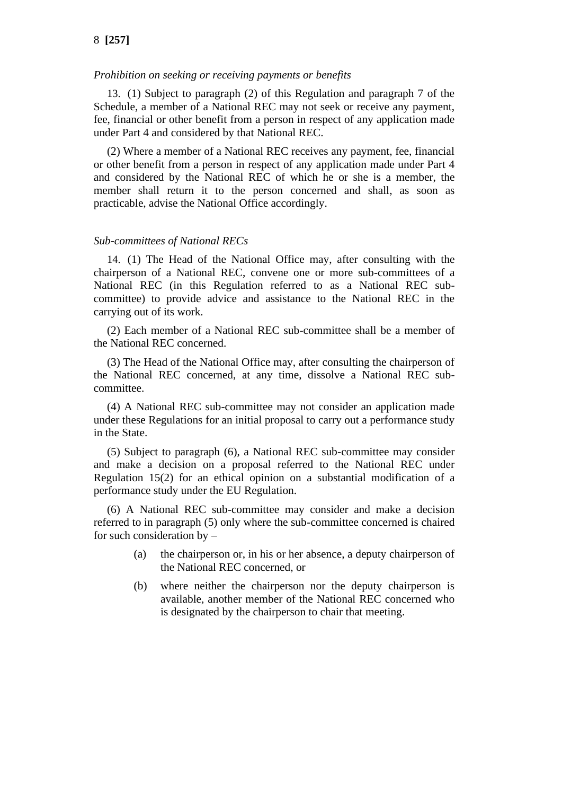### *Prohibition on seeking or receiving payments or benefits*

13. (1) Subject to paragraph (2) of this Regulation and paragraph 7 of the Schedule, a member of a National REC may not seek or receive any payment, fee, financial or other benefit from a person in respect of any application made under Part 4 and considered by that National REC.

(2) Where a member of a National REC receives any payment, fee, financial or other benefit from a person in respect of any application made under Part 4 and considered by the National REC of which he or she is a member, the member shall return it to the person concerned and shall, as soon as practicable, advise the National Office accordingly.

### *Sub-committees of National RECs*

14. (1) The Head of the National Office may, after consulting with the chairperson of a National REC, convene one or more sub-committees of a National REC (in this Regulation referred to as a National REC subcommittee) to provide advice and assistance to the National REC in the carrying out of its work.

(2) Each member of a National REC sub-committee shall be a member of the National REC concerned.

(3) The Head of the National Office may, after consulting the chairperson of the National REC concerned, at any time, dissolve a National REC subcommittee.

(4) A National REC sub-committee may not consider an application made under these Regulations for an initial proposal to carry out a performance study in the State.

(5) Subject to paragraph (6), a National REC sub-committee may consider and make a decision on a proposal referred to the National REC under Regulation 15(2) for an ethical opinion on a substantial modification of a performance study under the EU Regulation.

(6) A National REC sub-committee may consider and make a decision referred to in paragraph (5) only where the sub-committee concerned is chaired for such consideration by –

- (a) the chairperson or, in his or her absence, a deputy chairperson of the National REC concerned, or
- (b) where neither the chairperson nor the deputy chairperson is available, another member of the National REC concerned who is designated by the chairperson to chair that meeting.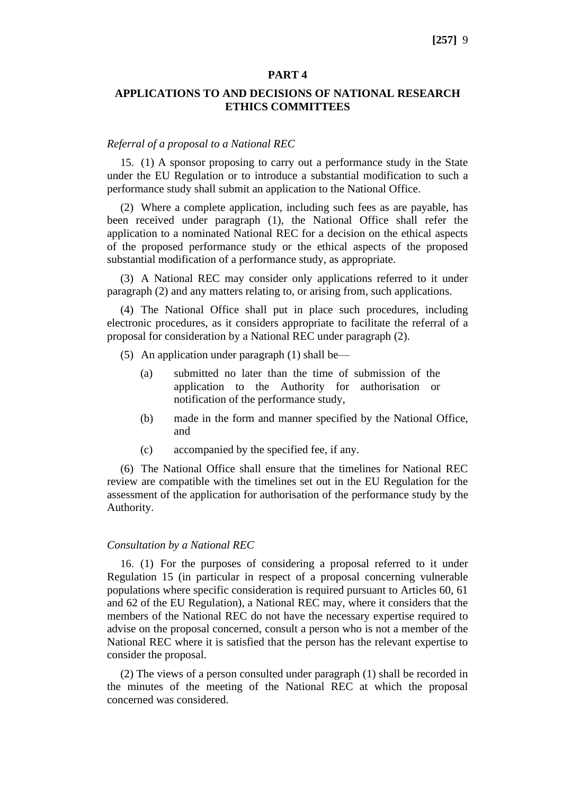#### **PART 4**

# **APPLICATIONS TO AND DECISIONS OF NATIONAL RESEARCH ETHICS COMMITTEES**

#### *Referral of a proposal to a National REC*

15. (1) A sponsor proposing to carry out a performance study in the State under the EU Regulation or to introduce a substantial modification to such a performance study shall submit an application to the National Office.

(2) Where a complete application, including such fees as are payable, has been received under paragraph (1), the National Office shall refer the application to a nominated National REC for a decision on the ethical aspects of the proposed performance study or the ethical aspects of the proposed substantial modification of a performance study, as appropriate.

(3) A National REC may consider only applications referred to it under paragraph (2) and any matters relating to, or arising from, such applications.

(4) The National Office shall put in place such procedures, including electronic procedures, as it considers appropriate to facilitate the referral of a proposal for consideration by a National REC under paragraph (2).

- (5) An application under paragraph (1) shall be—
	- (a) submitted no later than the time of submission of the application to the Authority for authorisation or notification of the performance study,
	- (b) made in the form and manner specified by the National Office, and
	- (c) accompanied by the specified fee, if any.

(6) The National Office shall ensure that the timelines for National REC review are compatible with the timelines set out in the EU Regulation for the assessment of the application for authorisation of the performance study by the Authority.

#### *Consultation by a National REC*

16. (1) For the purposes of considering a proposal referred to it under Regulation 15 (in particular in respect of a proposal concerning vulnerable populations where specific consideration is required pursuant to Articles 60, 61 and 62 of the EU Regulation), a National REC may, where it considers that the members of the National REC do not have the necessary expertise required to advise on the proposal concerned, consult a person who is not a member of the National REC where it is satisfied that the person has the relevant expertise to consider the proposal.

(2) The views of a person consulted under paragraph (1) shall be recorded in the minutes of the meeting of the National REC at which the proposal concerned was considered.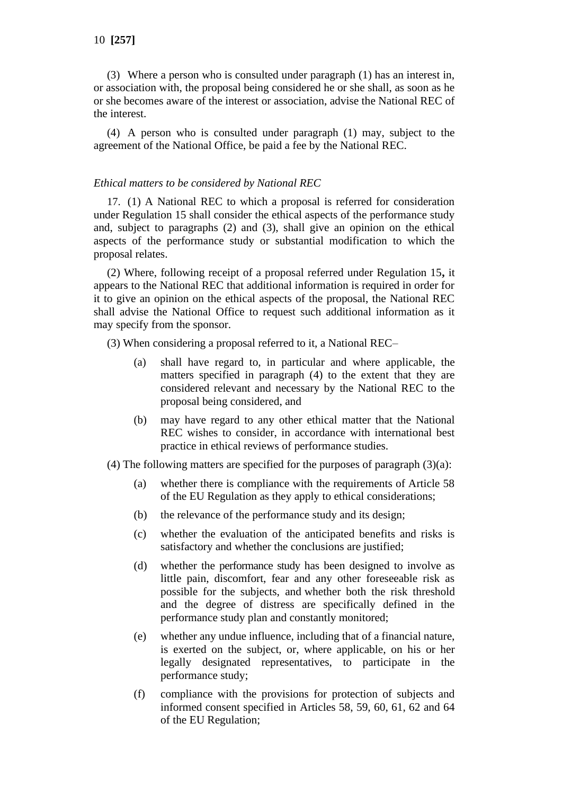(3) Where a person who is consulted under paragraph (1) has an interest in, or association with, the proposal being considered he or she shall, as soon as he or she becomes aware of the interest or association, advise the National REC of the interest.

(4) A person who is consulted under paragraph (1) may, subject to the agreement of the National Office, be paid a fee by the National REC.

### *Ethical matters to be considered by National REC*

17. (1) A National REC to which a proposal is referred for consideration under Regulation 15 shall consider the ethical aspects of the performance study and, subject to paragraphs (2) and (3), shall give an opinion on the ethical aspects of the performance study or substantial modification to which the proposal relates.

(2) Where, following receipt of a proposal referred under Regulation 15**,** it appears to the National REC that additional information is required in order for it to give an opinion on the ethical aspects of the proposal, the National REC shall advise the National Office to request such additional information as it may specify from the sponsor.

(3) When considering a proposal referred to it, a National REC–

- (a) shall have regard to, in particular and where applicable, the matters specified in paragraph (4) to the extent that they are considered relevant and necessary by the National REC to the proposal being considered, and
- (b) may have regard to any other ethical matter that the National REC wishes to consider, in accordance with international best practice in ethical reviews of performance studies.
- (4) The following matters are specified for the purposes of paragraph  $(3)(a)$ :
	- (a) whether there is compliance with the requirements of Article 58 of the EU Regulation as they apply to ethical considerations;
	- (b) the relevance of the performance study and its design;
	- (c) whether the evaluation of the anticipated benefits and risks is satisfactory and whether the conclusions are justified;
	- (d) whether the performance study has been designed to involve as little pain, discomfort, fear and any other foreseeable risk as possible for the subjects, and whether both the risk threshold and the degree of distress are specifically defined in the performance study plan and constantly monitored;
	- (e) whether any undue influence, including that of a financial nature, is exerted on the subject, or, where applicable, on his or her legally designated representatives, to participate in the performance study;
	- (f) compliance with the provisions for protection of subjects and informed consent specified in Articles 58, 59, 60, 61, 62 and 64 of the EU Regulation;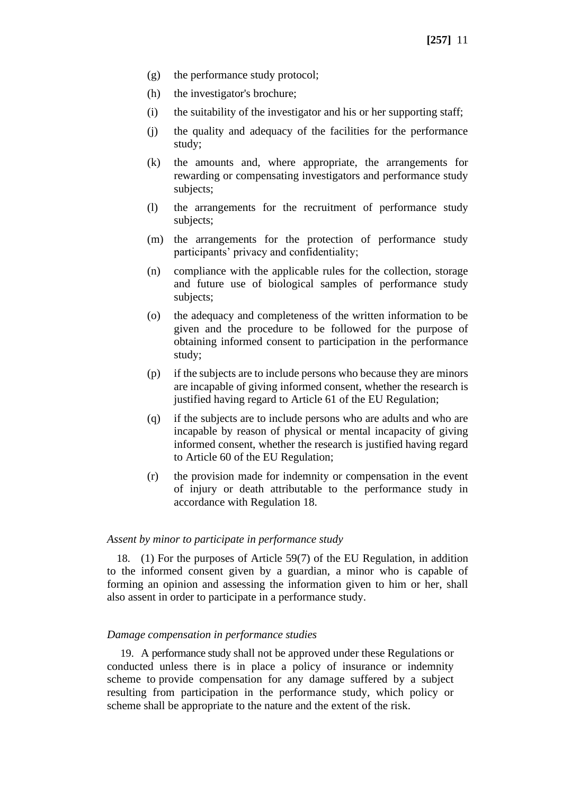- (g) the performance study protocol;
- (h) the investigator's brochure;
- (i) the suitability of the investigator and his or her supporting staff;
- (j) the quality and adequacy of the facilities for the performance study;
- (k) the amounts and, where appropriate, the arrangements for rewarding or compensating investigators and performance study subjects;
- (l) the arrangements for the recruitment of performance study subjects;
- (m) the arrangements for the protection of performance study participants' privacy and confidentiality;
- (n) compliance with the applicable rules for the collection, storage and future use of biological samples of performance study subjects;
- (o) the adequacy and completeness of the written information to be given and the procedure to be followed for the purpose of obtaining informed consent to participation in the performance study;
- (p) if the subjects are to include persons who because they are minors are incapable of giving informed consent, whether the research is justified having regard to Article 61 of the EU Regulation;
- (q) if the subjects are to include persons who are adults and who are incapable by reason of physical or mental incapacity of giving informed consent, whether the research is justified having regard to Article 60 of the EU Regulation;
- (r) the provision made for indemnity or compensation in the event of injury or death attributable to the performance study in accordance with Regulation 18.

#### *Assent by minor to participate in performance study*

18. (1) For the purposes of Article 59(7) of the EU Regulation, in addition to the informed consent given by a guardian, a minor who is capable of forming an opinion and assessing the information given to him or her, shall also assent in order to participate in a performance study.

#### *Damage compensation in performance studies*

19. A performance study shall not be approved under these Regulations or conducted unless there is in place a policy of insurance or indemnity scheme to provide compensation for any damage suffered by a subject resulting from participation in the performance study, which policy or scheme shall be appropriate to the nature and the extent of the risk.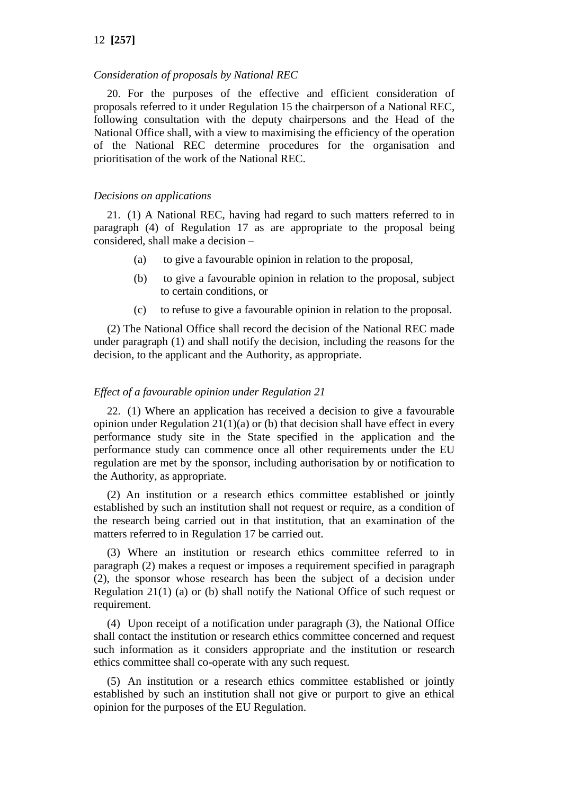### *Consideration of proposals by National REC*

20. For the purposes of the effective and efficient consideration of proposals referred to it under Regulation 15 the chairperson of a National REC, following consultation with the deputy chairpersons and the Head of the National Office shall, with a view to maximising the efficiency of the operation of the National REC determine procedures for the organisation and prioritisation of the work of the National REC.

#### *Decisions on applications*

21. (1) A National REC, having had regard to such matters referred to in paragraph (4) of Regulation 17 as are appropriate to the proposal being considered*,* shall make a decision –

- (a) to give a favourable opinion in relation to the proposal,
- (b) to give a favourable opinion in relation to the proposal, subject to certain conditions, or
- (c) to refuse to give a favourable opinion in relation to the proposal.

(2) The National Office shall record the decision of the National REC made under paragraph (1) and shall notify the decision, including the reasons for the decision, to the applicant and the Authority, as appropriate.

### *Effect of a favourable opinion under Regulation 21*

22. (1) Where an application has received a decision to give a favourable opinion under Regulation  $21(1)(a)$  or (b) that decision shall have effect in every performance study site in the State specified in the application and the performance study can commence once all other requirements under the EU regulation are met by the sponsor, including authorisation by or notification to the Authority, as appropriate.

(2) An institution or a research ethics committee established or jointly established by such an institution shall not request or require, as a condition of the research being carried out in that institution, that an examination of the matters referred to in Regulation 17 be carried out.

(3) Where an institution or research ethics committee referred to in paragraph (2) makes a request or imposes a requirement specified in paragraph (2), the sponsor whose research has been the subject of a decision under Regulation 21(1) (a) or (b) shall notify the National Office of such request or requirement.

(4) Upon receipt of a notification under paragraph (3), the National Office shall contact the institution or research ethics committee concerned and request such information as it considers appropriate and the institution or research ethics committee shall co-operate with any such request.

(5) An institution or a research ethics committee established or jointly established by such an institution shall not give or purport to give an ethical opinion for the purposes of the EU Regulation.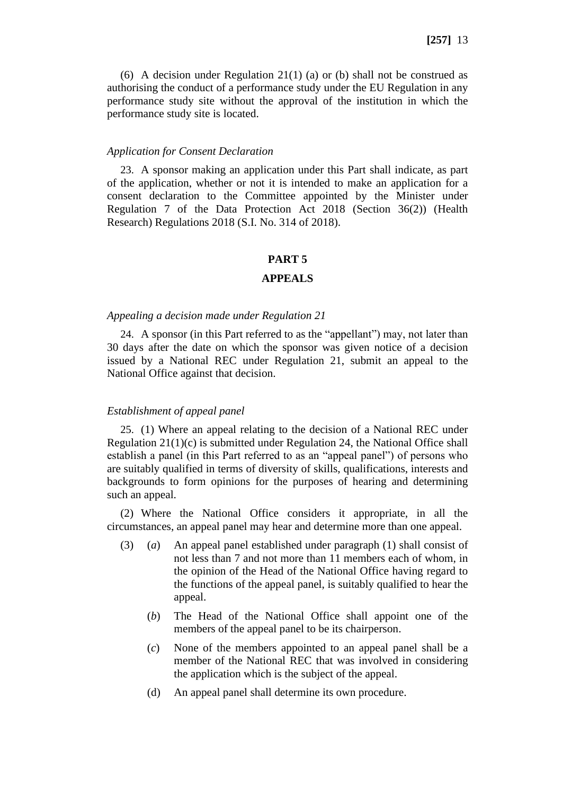(6) A decision under Regulation 21(1) (a) or (b) shall not be construed as authorising the conduct of a performance study under the EU Regulation in any performance study site without the approval of the institution in which the performance study site is located.

#### *Application for Consent Declaration*

23. A sponsor making an application under this Part shall indicate, as part of the application, whether or not it is intended to make an application for a consent declaration to the Committee appointed by the Minister under Regulation 7 of the Data Protection Act 2018 (Section 36(2)) (Health Research) Regulations 2018 (S.I. No. 314 of 2018).

#### **PART 5**

### **APPEALS**

### *Appealing a decision made under Regulation 21*

24. A sponsor (in this Part referred to as the "appellant") may, not later than 30 days after the date on which the sponsor was given notice of a decision issued by a National REC under Regulation 21, submit an appeal to the National Office against that decision.

### *Establishment of appeal panel*

25. (1) Where an appeal relating to the decision of a National REC under Regulation  $21(1)(c)$  is submitted under Regulation 24, the National Office shall establish a panel (in this Part referred to as an "appeal panel") of persons who are suitably qualified in terms of diversity of skills, qualifications, interests and backgrounds to form opinions for the purposes of hearing and determining such an appeal.

(2) Where the National Office considers it appropriate, in all the circumstances, an appeal panel may hear and determine more than one appeal.

- (3) (*a*) An appeal panel established under paragraph (1) shall consist of not less than 7 and not more than 11 members each of whom, in the opinion of the Head of the National Office having regard to the functions of the appeal panel, is suitably qualified to hear the appeal.
	- (*b*) The Head of the National Office shall appoint one of the members of the appeal panel to be its chairperson.
	- (*c*) None of the members appointed to an appeal panel shall be a member of the National REC that was involved in considering the application which is the subject of the appeal.
	- (d) An appeal panel shall determine its own procedure.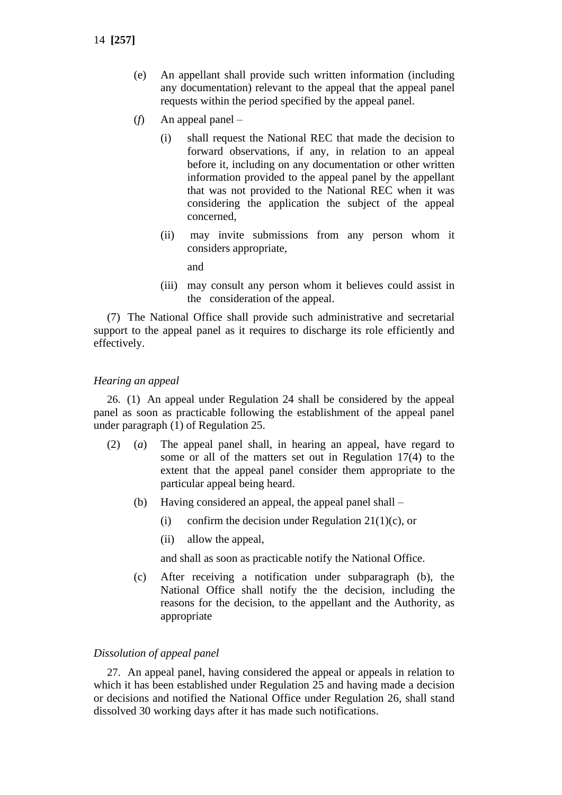- (e) An appellant shall provide such written information (including any documentation) relevant to the appeal that the appeal panel requests within the period specified by the appeal panel.
- (*f*) An appeal panel
	- (i) shall request the National REC that made the decision to forward observations, if any, in relation to an appeal before it, including on any documentation or other written information provided to the appeal panel by the appellant that was not provided to the National REC when it was considering the application the subject of the appeal concerned,
	- (ii) may invite submissions from any person whom it considers appropriate,

and

(iii) may consult any person whom it believes could assist in the consideration of the appeal.

(7) The National Office shall provide such administrative and secretarial support to the appeal panel as it requires to discharge its role efficiently and effectively.

### *Hearing an appeal*

26. (1) An appeal under Regulation 24 shall be considered by the appeal panel as soon as practicable following the establishment of the appeal panel under paragraph (1) of Regulation 25.

- (2) (*a*) The appeal panel shall, in hearing an appeal, have regard to some or all of the matters set out in Regulation 17(4) to the extent that the appeal panel consider them appropriate to the particular appeal being heard.
	- (b) Having considered an appeal, the appeal panel shall
		- (i) confirm the decision under Regulation 21(1)(c), or
		- (ii) allow the appeal,

and shall as soon as practicable notify the National Office.

(c) After receiving a notification under subparagraph (b), the National Office shall notify the the decision, including the reasons for the decision, to the appellant and the Authority, as appropriate

#### *Dissolution of appeal panel*

27. An appeal panel, having considered the appeal or appeals in relation to which it has been established under Regulation 25 and having made a decision or decisions and notified the National Office under Regulation 26, shall stand dissolved 30 working days after it has made such notifications.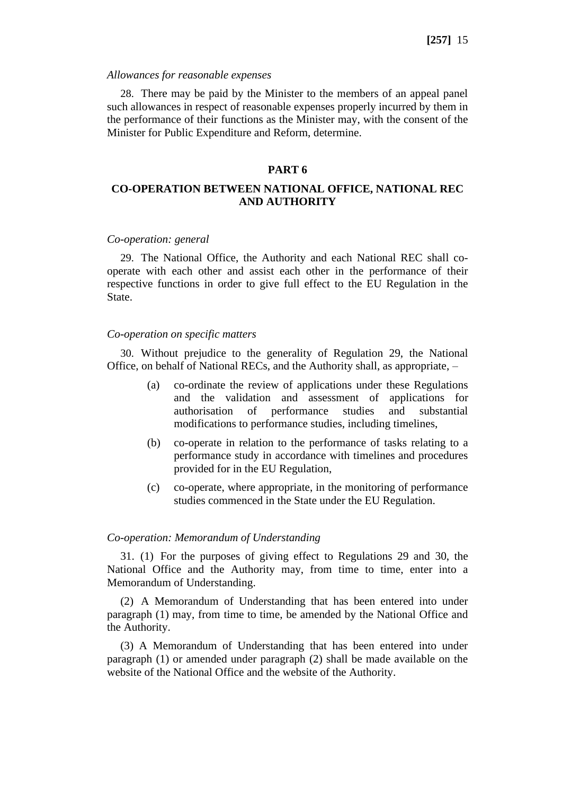#### *Allowances for reasonable expenses*

28. There may be paid by the Minister to the members of an appeal panel such allowances in respect of reasonable expenses properly incurred by them in the performance of their functions as the Minister may, with the consent of the Minister for Public Expenditure and Reform, determine.

### **PART 6**

# **CO-OPERATION BETWEEN NATIONAL OFFICE, NATIONAL REC AND AUTHORITY**

#### *Co-operation: general*

29. The National Office, the Authority and each National REC shall cooperate with each other and assist each other in the performance of their respective functions in order to give full effect to the EU Regulation in the State.

### *Co-operation on specific matters*

30. Without prejudice to the generality of Regulation 29, the National Office, on behalf of National RECs, and the Authority shall, as appropriate, –

- (a) co-ordinate the review of applications under these Regulations and the validation and assessment of applications for authorisation of performance studies and substantial modifications to performance studies, including timelines,
- (b) co-operate in relation to the performance of tasks relating to a performance study in accordance with timelines and procedures provided for in the EU Regulation,
- (c) co-operate, where appropriate, in the monitoring of performance studies commenced in the State under the EU Regulation.

#### *Co-operation: Memorandum of Understanding*

31. (1) For the purposes of giving effect to Regulations 29 and 30, the National Office and the Authority may, from time to time, enter into a Memorandum of Understanding.

(2) A Memorandum of Understanding that has been entered into under paragraph (1) may, from time to time, be amended by the National Office and the Authority.

(3) A Memorandum of Understanding that has been entered into under paragraph (1) or amended under paragraph (2) shall be made available on the website of the National Office and the website of the Authority.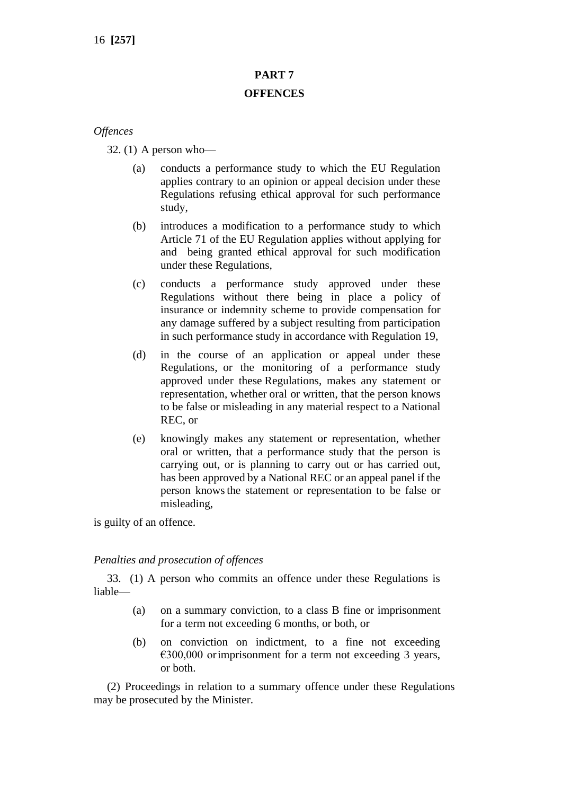# **PART 7 OFFENCES**

# *Offences*

32. (1) A person who—

- (a) conducts a performance study to which the EU Regulation applies contrary to an opinion or appeal decision under these Regulations refusing ethical approval for such performance study,
- (b) introduces a modification to a performance study to which Article 71 of the EU Regulation applies without applying for and being granted ethical approval for such modification under these Regulations,
- (c) conducts a performance study approved under these Regulations without there being in place a policy of insurance or indemnity scheme to provide compensation for any damage suffered by a subject resulting from participation in such performance study in accordance with Regulation 19,
- (d) in the course of an application or appeal under these Regulations, or the monitoring of a performance study approved under these Regulations, makes any statement or representation, whether oral or written, that the person knows to be false or misleading in any material respect to a National REC, or
- (e) knowingly makes any statement or representation, whether oral or written, that a performance study that the person is carrying out, or is planning to carry out or has carried out, has been approved by a National REC or an appeal panel if the person knowsthe statement or representation to be false or misleading,

is guilty of an offence.

# *Penalties and prosecution of offences*

33. (1) A person who commits an offence under these Regulations is liable—

- (a) on a summary conviction, to a class B fine or imprisonment for a term not exceeding 6 months, or both, or
- (b) on conviction on indictment, to a fine not exceeding  $\epsilon$ 300,000 orimprisonment for a term not exceeding 3 years, or both.

(2) Proceedings in relation to a summary offence under these Regulations may be prosecuted by the Minister.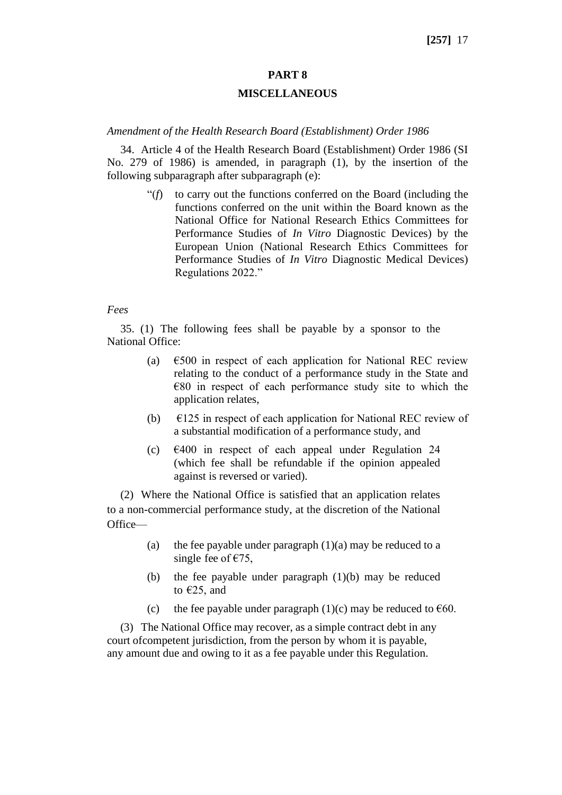# **PART 8**

### **MISCELLANEOUS**

#### *Amendment of the Health Research Board (Establishment) Order 1986*

34. Article 4 of the Health Research Board (Establishment) Order 1986 (SI No. 279 of 1986) is amended, in paragraph (1), by the insertion of the following subparagraph after subparagraph (e):

> "(*f*) to carry out the functions conferred on the Board (including the functions conferred on the unit within the Board known as the National Office for National Research Ethics Committees for Performance Studies of *In Vitro* Diagnostic Devices) by the European Union (National Research Ethics Committees for Performance Studies of *In Vitro* Diagnostic Medical Devices) Regulations 2022."

#### *Fees*

35. (1) The following fees shall be payable by a sponsor to the National Office:

- (a)  $\epsilon$ 500 in respect of each application for National REC review relating to the conduct of a performance study in the State and  $€80$  in respect of each performance study site to which the application relates,
- (b)  $\epsilon$ 125 in respect of each application for National REC review of a substantial modification of a performance study, and
- (c) €400 in respect of each appeal under Regulation 24 (which fee shall be refundable if the opinion appealed against is reversed or varied).

(2) Where the National Office is satisfied that an application relates to a non-commercial performance study, at the discretion of the National Office—

- (a) the fee payable under paragraph  $(1)(a)$  may be reduced to a single fee of  $\epsilon$ 75,
- (b) the fee payable under paragraph (1)(b) may be reduced to  $E25$ , and
- (c) the fee payable under paragraph (1)(c) may be reduced to  $\epsilon$ 60.

(3) The National Office may recover, as a simple contract debt in any court ofcompetent jurisdiction, from the person by whom it is payable, any amount due and owing to it as a fee payable under this Regulation.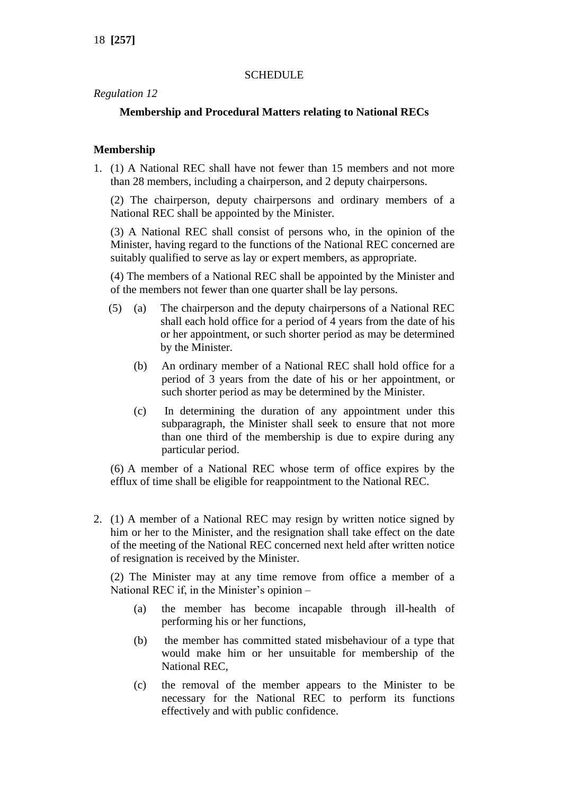# **SCHEDULE**

# *Regulation 12*

# **Membership and Procedural Matters relating to National RECs**

# **Membership**

1. (1) A National REC shall have not fewer than 15 members and not more than 28 members, including a chairperson, and 2 deputy chairpersons.

(2) The chairperson, deputy chairpersons and ordinary members of a National REC shall be appointed by the Minister.

(3) A National REC shall consist of persons who, in the opinion of the Minister, having regard to the functions of the National REC concerned are suitably qualified to serve as lay or expert members, as appropriate.

(4) The members of a National REC shall be appointed by the Minister and of the members not fewer than one quarter shall be lay persons.

- (5) (a) The chairperson and the deputy chairpersons of a National REC shall each hold office for a period of 4 years from the date of his or her appointment, or such shorter period as may be determined by the Minister.
	- (b) An ordinary member of a National REC shall hold office for a period of 3 years from the date of his or her appointment, or such shorter period as may be determined by the Minister.
	- (c) In determining the duration of any appointment under this subparagraph, the Minister shall seek to ensure that not more than one third of the membership is due to expire during any particular period.

(6) A member of a National REC whose term of office expires by the efflux of time shall be eligible for reappointment to the National REC.

2. (1) A member of a National REC may resign by written notice signed by him or her to the Minister, and the resignation shall take effect on the date of the meeting of the National REC concerned next held after written notice of resignation is received by the Minister.

(2) The Minister may at any time remove from office a member of a National REC if, in the Minister's opinion –

- (a) the member has become incapable through ill-health of performing his or her functions,
- (b) the member has committed stated misbehaviour of a type that would make him or her unsuitable for membership of the National REC,
- (c) the removal of the member appears to the Minister to be necessary for the National REC to perform its functions effectively and with public confidence.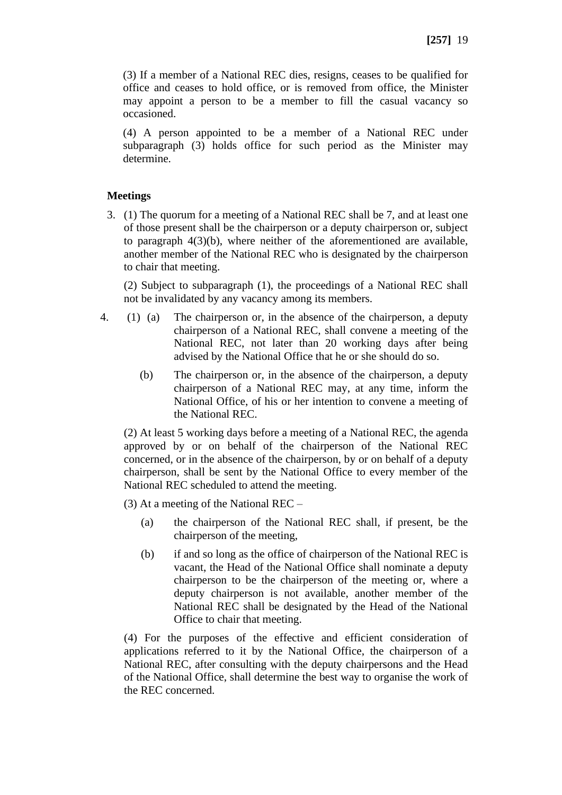(3) If a member of a National REC dies, resigns, ceases to be qualified for office and ceases to hold office, or is removed from office, the Minister may appoint a person to be a member to fill the casual vacancy so occasioned.

(4) A person appointed to be a member of a National REC under subparagraph (3) holds office for such period as the Minister may determine.

# **Meetings**

3. (1) The quorum for a meeting of a National REC shall be 7, and at least one of those present shall be the chairperson or a deputy chairperson or, subject to paragraph 4(3)(b), where neither of the aforementioned are available, another member of the National REC who is designated by the chairperson to chair that meeting.

(2) Subject to subparagraph (1), the proceedings of a National REC shall not be invalidated by any vacancy among its members.

- 4. (1) (a) The chairperson or, in the absence of the chairperson, a deputy chairperson of a National REC, shall convene a meeting of the National REC, not later than 20 working days after being advised by the National Office that he or she should do so.
	- (b) The chairperson or, in the absence of the chairperson, a deputy chairperson of a National REC may, at any time, inform the National Office, of his or her intention to convene a meeting of the National REC.

(2) At least 5 working days before a meeting of a National REC, the agenda approved by or on behalf of the chairperson of the National REC concerned, or in the absence of the chairperson, by or on behalf of a deputy chairperson, shall be sent by the National Office to every member of the National REC scheduled to attend the meeting.

(3) At a meeting of the National REC –

- (a) the chairperson of the National REC shall, if present, be the chairperson of the meeting,
- (b) if and so long as the office of chairperson of the National REC is vacant, the Head of the National Office shall nominate a deputy chairperson to be the chairperson of the meeting or, where a deputy chairperson is not available, another member of the National REC shall be designated by the Head of the National Office to chair that meeting.

(4) For the purposes of the effective and efficient consideration of applications referred to it by the National Office, the chairperson of a National REC, after consulting with the deputy chairpersons and the Head of the National Office, shall determine the best way to organise the work of the REC concerned.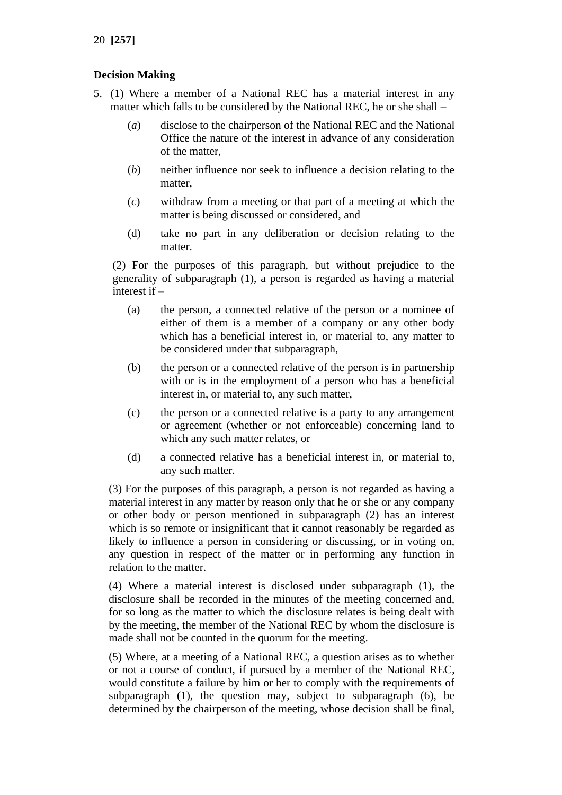# **Decision Making**

- 5. (1) Where a member of a National REC has a material interest in any matter which falls to be considered by the National REC, he or she shall –
	- (*a*) disclose to the chairperson of the National REC and the National Office the nature of the interest in advance of any consideration of the matter,
	- (*b*) neither influence nor seek to influence a decision relating to the matter,
	- (*c*) withdraw from a meeting or that part of a meeting at which the matter is being discussed or considered, and
	- (d) take no part in any deliberation or decision relating to the matter.

(2) For the purposes of this paragraph, but without prejudice to the generality of subparagraph (1), a person is regarded as having a material interest if –

- (a) the person, a connected relative of the person or a nominee of either of them is a member of a company or any other body which has a beneficial interest in, or material to, any matter to be considered under that subparagraph,
- (b) the person or a connected relative of the person is in partnership with or is in the employment of a person who has a beneficial interest in, or material to, any such matter,
- (c) the person or a connected relative is a party to any arrangement or agreement (whether or not enforceable) concerning land to which any such matter relates, or
- (d) a connected relative has a beneficial interest in, or material to, any such matter.

(3) For the purposes of this paragraph, a person is not regarded as having a material interest in any matter by reason only that he or she or any company or other body or person mentioned in subparagraph (2) has an interest which is so remote or insignificant that it cannot reasonably be regarded as likely to influence a person in considering or discussing, or in voting on, any question in respect of the matter or in performing any function in relation to the matter.

(4) Where a material interest is disclosed under subparagraph (1), the disclosure shall be recorded in the minutes of the meeting concerned and, for so long as the matter to which the disclosure relates is being dealt with by the meeting, the member of the National REC by whom the disclosure is made shall not be counted in the quorum for the meeting.

(5) Where, at a meeting of a National REC, a question arises as to whether or not a course of conduct, if pursued by a member of the National REC, would constitute a failure by him or her to comply with the requirements of subparagraph (1), the question may, subject to subparagraph (6), be determined by the chairperson of the meeting, whose decision shall be final,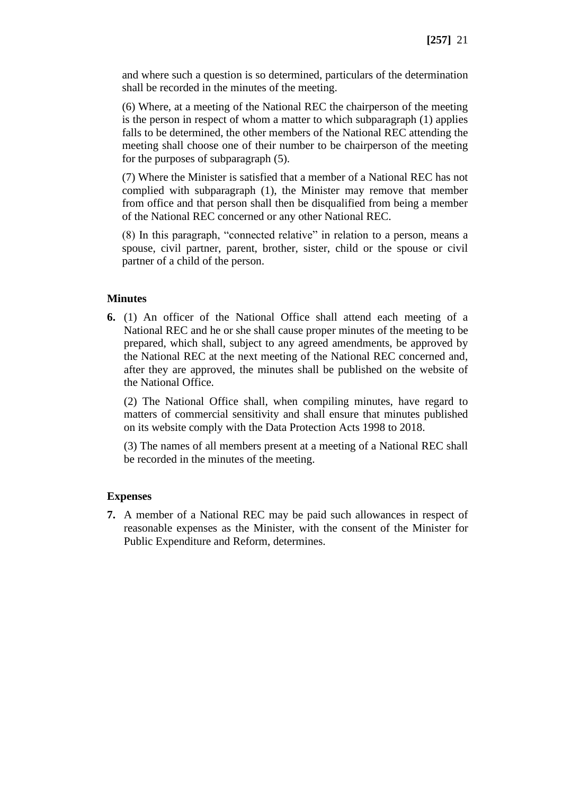and where such a question is so determined, particulars of the determination shall be recorded in the minutes of the meeting.

(6) Where, at a meeting of the National REC the chairperson of the meeting is the person in respect of whom a matter to which subparagraph (1) applies falls to be determined, the other members of the National REC attending the meeting shall choose one of their number to be chairperson of the meeting for the purposes of subparagraph (5).

(7) Where the Minister is satisfied that a member of a National REC has not complied with subparagraph (1), the Minister may remove that member from office and that person shall then be disqualified from being a member of the National REC concerned or any other National REC.

(8) In this paragraph, "connected relative" in relation to a person, means a spouse, civil partner, parent, brother, sister, child or the spouse or civil partner of a child of the person.

# **Minutes**

**6.** (1) An officer of the National Office shall attend each meeting of a National REC and he or she shall cause proper minutes of the meeting to be prepared, which shall, subject to any agreed amendments, be approved by the National REC at the next meeting of the National REC concerned and, after they are approved, the minutes shall be published on the website of the National Office.

(2) The National Office shall, when compiling minutes, have regard to matters of commercial sensitivity and shall ensure that minutes published on its website comply with the Data Protection Acts 1998 to 2018.

(3) The names of all members present at a meeting of a National REC shall be recorded in the minutes of the meeting.

# **Expenses**

**7.** A member of a National REC may be paid such allowances in respect of reasonable expenses as the Minister, with the consent of the Minister for Public Expenditure and Reform, determines.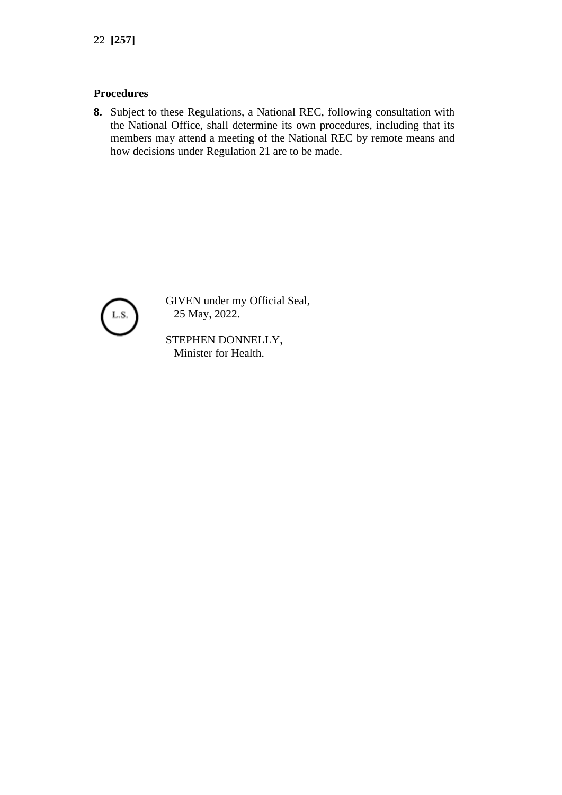# **Procedures**

**8.** Subject to these Regulations, a National REC, following consultation with the National Office, shall determine its own procedures, including that its members may attend a meeting of the National REC by remote means and how decisions under Regulation 21 are to be made.



GIVEN under my Official Seal, 25 May, 2022.

STEPHEN DONNELLY, Minister for Health.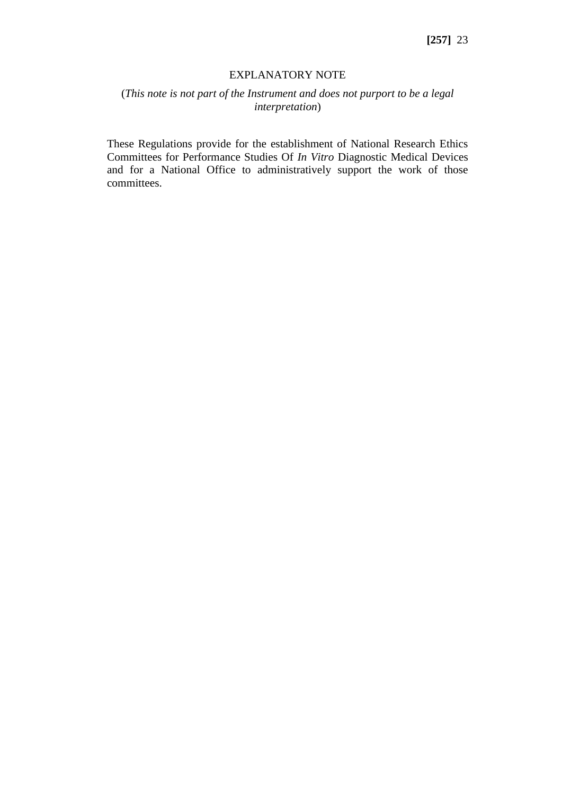### EXPLANATORY NOTE

# (*This note is not part of the Instrument and does not purport to be a legal interpretation*)

These Regulations provide for the establishment of National Research Ethics Committees for Performance Studies Of *In Vitro* Diagnostic Medical Devices and for a National Office to administratively support the work of those committees.